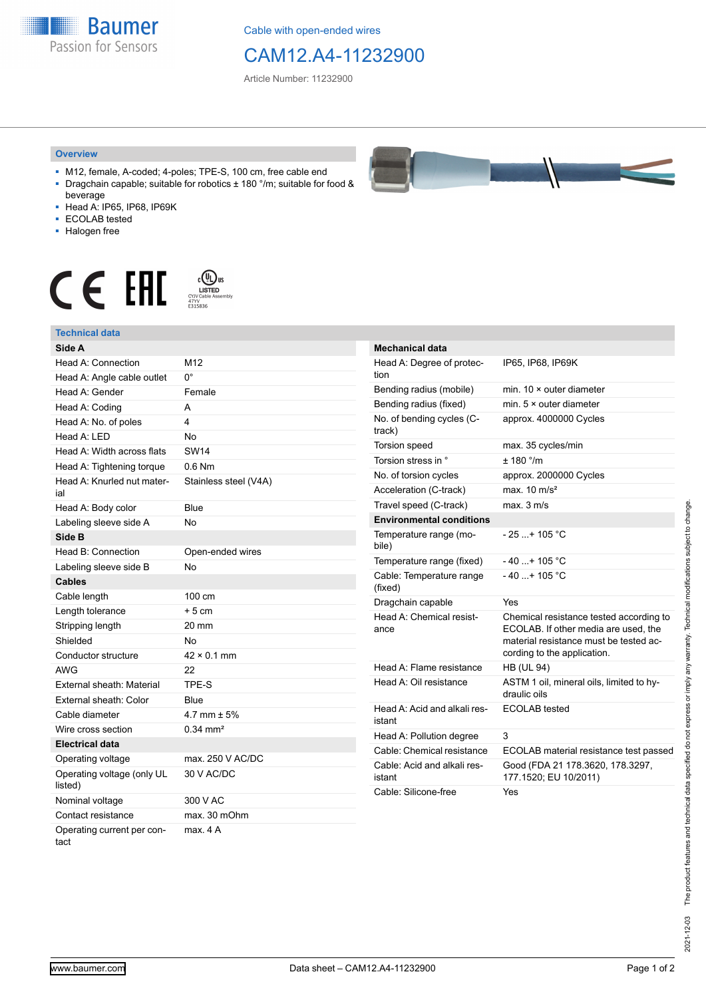**Baumer** Passion for Sensors

Cable with open-ended wires

## CAM12.A4-11232900

Article Number: 11232900

## **Overview**

- M12, female, A-coded; 4-poles; TPE-S, 100 cm, free cable end ■ Dragchain capable; suitable for robotics ± 180 °/m; suitable for food &
- beverage ■ Head A: IP65, IP68, IP69K
- ECOLAB tested
- Halogen free
- 

## $\displaystyle \mathop{\mathsf{C}}\limits_{\substack{\mathsf{C} \text{VJV} \text{Cable Assen}\ \atop 47\text{VV}}} \mathop{\mathsf{LISTED}}\limits_{\substack{\mathsf{C} \text{VJV Cable Assen}\ \atop 5315836}}$ CE EHI



| Mechanical data                        |                                                                                                                                                          |
|----------------------------------------|----------------------------------------------------------------------------------------------------------------------------------------------------------|
| Head A: Degree of protec-<br>tion      | IP65, IP68, IP69K                                                                                                                                        |
| Bending radius (mobile)                | min. $10 \times$ outer diameter                                                                                                                          |
| Bending radius (fixed)                 | min. $5 \times$ outer diameter                                                                                                                           |
| No. of bending cycles (C-<br>track)    | approx. 4000000 Cycles                                                                                                                                   |
| Torsion speed                          | max. 35 cycles/min                                                                                                                                       |
| Torsion stress in °                    | ± 180 °/m                                                                                                                                                |
| No. of torsion cycles                  | approx. 2000000 Cycles                                                                                                                                   |
| Acceleration (C-track)                 | max. $10 \text{ m/s}^2$                                                                                                                                  |
| Travel speed (C-track)                 | max. 3 m/s                                                                                                                                               |
| <b>Environmental conditions</b>        |                                                                                                                                                          |
| Temperature range (mo-<br>bile)        | $-25+105 °C$                                                                                                                                             |
| Temperature range (fixed)              | $-40+105 °C$                                                                                                                                             |
| Cable: Temperature range<br>(fixed)    | $-40+105 °C$                                                                                                                                             |
| Dragchain capable                      | Yes                                                                                                                                                      |
| Head A: Chemical resist-<br>ance       | Chemical resistance tested according to<br>ECOLAB. If other media are used, the<br>material resistance must be tested ac-<br>cording to the application. |
| Head A: Flame resistance               | <b>HB (UL 94)</b>                                                                                                                                        |
| Head A: Oil resistance                 | ASTM 1 oil, mineral oils, limited to hy-<br>draulic oils                                                                                                 |
| Head A: Acid and alkali res-<br>istant | ECOLAB tested                                                                                                                                            |
| Head A: Pollution degree               | 3                                                                                                                                                        |
| Cable: Chemical resistance             | ECOLAB material resistance test passed                                                                                                                   |
| Cable: Acid and alkali res-<br>istant  | Good (FDA 21 178.3620, 178.3297,<br>177.1520; EU 10/2011)                                                                                                |
| Cable: Silicone-free                   | Yes                                                                                                                                                      |